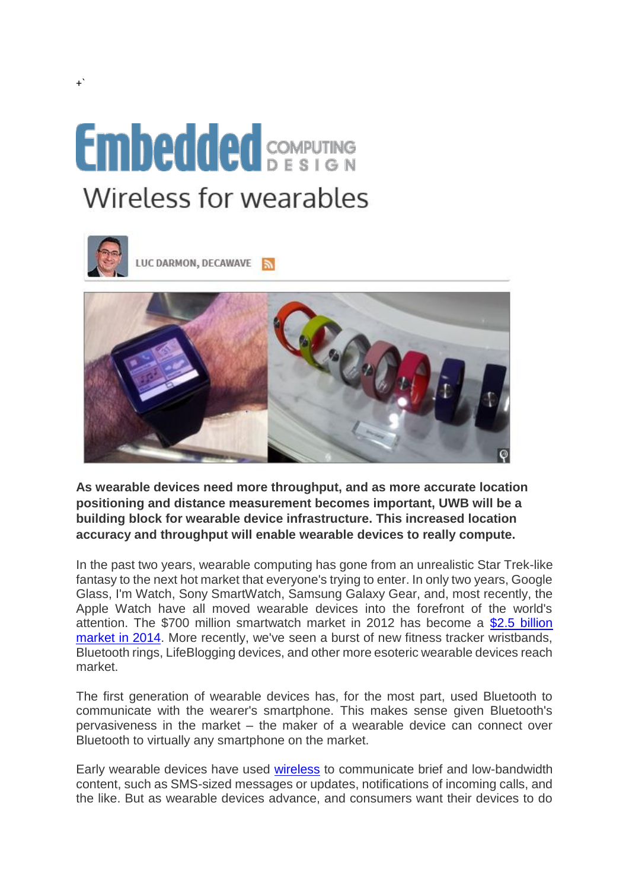## **Embedded** SOMPUTING Wireless for wearables



LUC DARMON, DECAWAVE



**As wearable devices need more throughput, and as more accurate location positioning and distance measurement becomes important, UWB will be a building block for wearable device infrastructure. This increased location accuracy and throughput will enable wearable devices to really compute.**

In the past two years, wearable computing has gone from an unrealistic Star Trek-like fantasy to the next hot market that everyone's trying to enter. In only two years, Google Glass, I'm Watch, Sony SmartWatch, Samsung Galaxy Gear, and, most recently, the Apple Watch have all moved wearable devices into the forefront of the world's attention. The \$700 million smartwatch market in 2012 has become a [\\$2.5 billion](http://www.forbes.com/sites/arieladams/2014/03/07/the-size-of-the-smartwatch-market-its-key-players/)  [market in 2014.](http://www.forbes.com/sites/arieladams/2014/03/07/the-size-of-the-smartwatch-market-its-key-players/) More recently, we've seen a burst of new fitness tracker wristbands, Bluetooth rings, LifeBlogging devices, and other more esoteric wearable devices reach market.

The first generation of wearable devices has, for the most part, used Bluetooth to communicate with the wearer's smartphone. This makes sense given Bluetooth's pervasiveness in the market – the maker of a wearable device can connect over Bluetooth to virtually any smartphone on the market.

Early wearable devices have used [wireless](http://tech.opensystemsmedia.com/embedded-wireless/#wireless) to communicate brief and low-bandwidth content, such as SMS-sized messages or updates, notifications of incoming calls, and the like. But as wearable devices advance, and consumers want their devices to do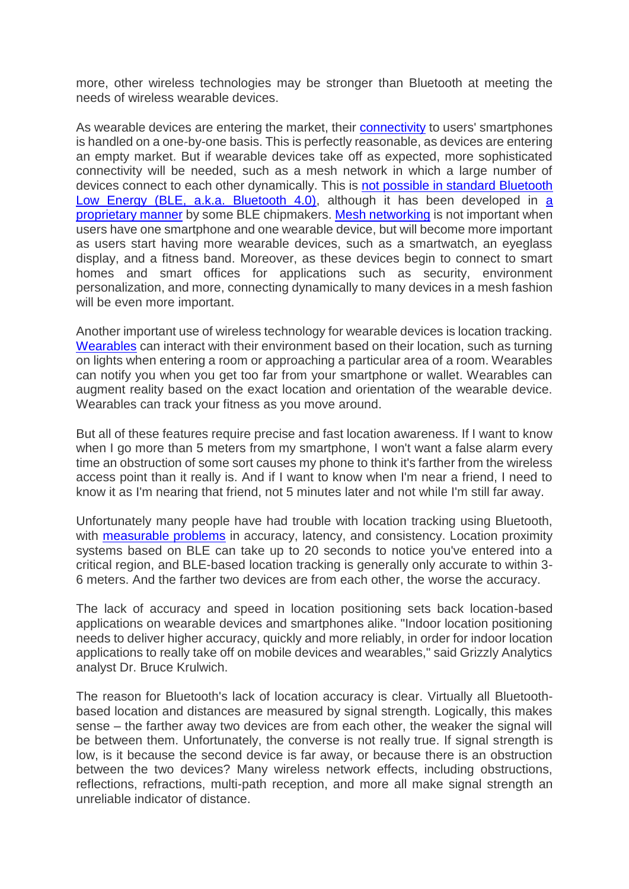more, other wireless technologies may be stronger than Bluetooth at meeting the needs of wireless wearable devices.

As wearable devices are entering the market, their [connectivity](http://embedded-computing.com/topics/connectivity) to users' smartphones is handled on a one-by-one basis. This is perfectly reasonable, as devices are entering an empty market. But if wearable devices take off as expected, more sophisticated connectivity will be needed, such as a mesh network in which a large number of devices connect to each other dynamically. This is [not possible in standard Bluetooth](http://bleforum.com/general-ble-discussion/mesh-network-with-ble/)  [Low Energy \(BLE, a.k.a. Bluetooth 4.0\),](http://bleforum.com/general-ble-discussion/mesh-network-with-ble/) [a](http://www.csr.com/news/pr/2014/csr-mesh)lthough it has been developed in a [proprietary manner](http://www.csr.com/news/pr/2014/csr-mesh) by some BLE chipmakers. [Mesh networking](http://tech.opensystemsmedia.com/embedded-wireless/#mesh%20networking) is not important when users have one smartphone and one wearable device, but will become more important as users start having more wearable devices, such as a smartwatch, an eyeglass display, and a fitness band. Moreover, as these devices begin to connect to smart homes and smart offices for applications such as security, environment personalization, and more, connecting dynamically to many devices in a mesh fashion will be even more important.

Another important use of wireless technology for wearable devices is location tracking. [Wearables](http://embedded-computing.com/topics/wearables) can interact with their environment based on their location, such as turning on lights when entering a room or approaching a particular area of a room. Wearables can notify you when you get too far from your smartphone or wallet. Wearables can augment reality based on the exact location and orientation of the wearable device. Wearables can track your fitness as you move around.

But all of these features require precise and fast location awareness. If I want to know when I go more than 5 meters from my smartphone, I won't want a false alarm every time an obstruction of some sort causes my phone to think it's farther from the wireless access point than it really is. And if I want to know when I'm near a friend, I need to know it as I'm nearing that friend, not 5 minutes later and not while I'm still far away.

Unfortunately many people have had trouble with location tracking using Bluetooth, with [measurable problems](http://blog.shinetech.com/2014/02/17/the-beacon-experiments-low-energy-bluetooth-devices-in-action/) in accuracy, latency, and consistency. Location proximity systems based on BLE can take up to 20 seconds to notice you've entered into a critical region, and BLE-based location tracking is generally only accurate to within 3- 6 meters. And the farther two devices are from each other, the worse the accuracy.

The lack of accuracy and speed in location positioning sets back location-based applications on wearable devices and smartphones alike. "Indoor location positioning needs to deliver higher accuracy, quickly and more reliably, in order for indoor location applications to really take off on mobile devices and wearables," said Grizzly Analytics analyst Dr. Bruce Krulwich.

The reason for Bluetooth's lack of location accuracy is clear. Virtually all Bluetoothbased location and distances are measured by signal strength. Logically, this makes sense – the farther away two devices are from each other, the weaker the signal will be between them. Unfortunately, the converse is not really true. If signal strength is low, is it because the second device is far away, or because there is an obstruction between the two devices? Many wireless network effects, including obstructions, reflections, refractions, multi-path reception, and more all make signal strength an unreliable indicator of distance.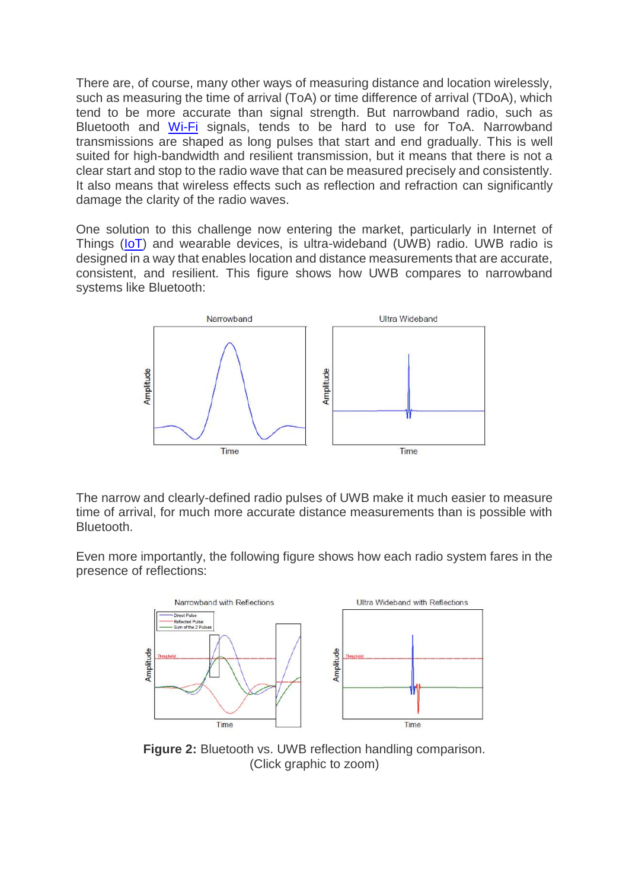There are, of course, many other ways of measuring distance and location wirelessly, such as measuring the time of arrival (ToA) or time difference of arrival (TDoA), which tend to be more accurate than signal strength. But narrowband radio, such as Bluetooth and [Wi-Fi](http://tech.opensystemsmedia.com/embedded-wireless/#wi-fi) signals, tends to be hard to use for ToA. Narrowband transmissions are shaped as long pulses that start and end gradually. This is well suited for high-bandwidth and resilient transmission, but it means that there is not a clear start and stop to the radio wave that can be measured precisely and consistently. It also means that wireless effects such as reflection and refraction can significantly damage the clarity of the radio waves.

One solution to this challenge now entering the market, particularly in Internet of Things [\(IoT\)](http://embedded-computing.com/topics/iot) and wearable devices, is ultra-wideband (UWB) radio. UWB radio is designed in a way that enables location and distance measurements that are accurate, consistent, and resilient. This figure shows how UWB compares to narrowband systems like Bluetooth:



The narrow and clearly-defined radio pulses of UWB make it much easier to measure time of arrival, for much more accurate distance measurements than is possible with Bluetooth.

Even more importantly, the following figure shows how each radio system fares in the presence of reflections:



**Figure 2:** Bluetooth vs. UWB reflection handling comparison. (Click graphic to zoom)